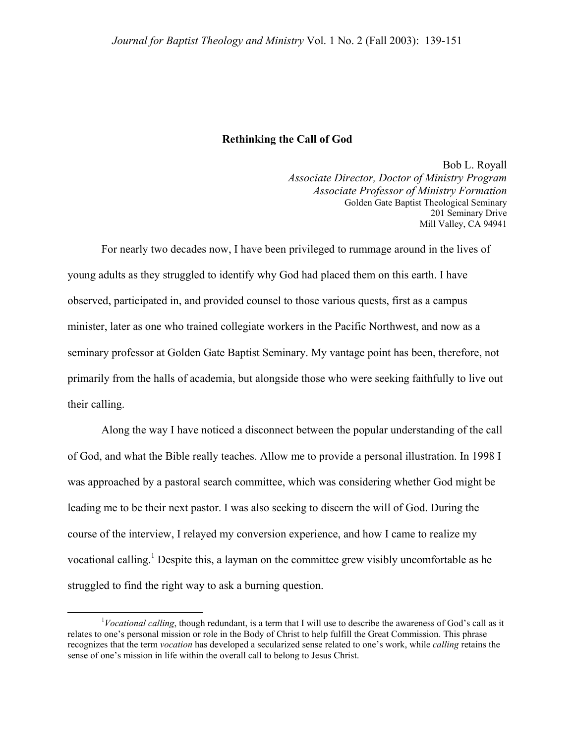## **Rethinking the Call of God**

Bob L. Royall *Associate Director, Doctor of Ministry Program Associate Professor of Ministry Formation* Golden Gate Baptist Theological Seminary 201 Seminary Drive Mill Valley, CA 94941

For nearly two decades now, I have been privileged to rummage around in the lives of young adults as they struggled to identify why God had placed them on this earth. I have observed, participated in, and provided counsel to those various quests, first as a campus minister, later as one who trained collegiate workers in the Pacific Northwest, and now as a seminary professor at Golden Gate Baptist Seminary. My vantage point has been, therefore, not primarily from the halls of academia, but alongside those who were seeking faithfully to live out their calling.

Along the way I have noticed a disconnect between the popular understanding of the call of God, and what the Bible really teaches. Allow me to provide a personal illustration. In 1998 I was approached by a pastoral search committee, which was considering whether God might be leading me to be their next pastor. I was also seeking to discern the will of God. During the course of the interview, I relayed my conversion experience, and how I came to realize my vocational calling.<sup>[1](#page-0-0)</sup> Despite this, a layman on the committee grew visibly uncomfortable as he struggled to find the right way to ask a burning question.

<span id="page-0-0"></span> $\begin{array}{c|c}\n\hline\n\end{array}$ *Vocational calling*, though redundant, is a term that I will use to describe the awareness of God's call as it relates to one's personal mission or role in the Body of Christ to help fulfill the Great Commission. This phrase recognizes that the term *vocation* has developed a secularized sense related to one's work, while *calling* retains the sense of one's mission in life within the overall call to belong to Jesus Christ.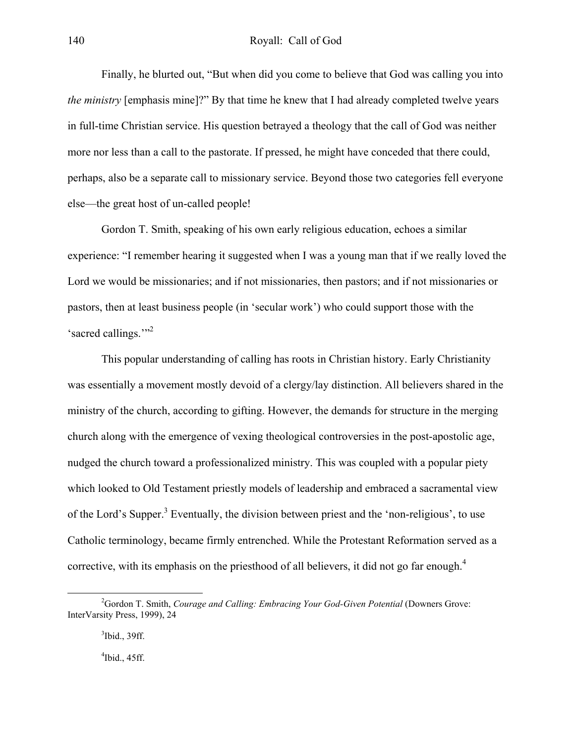Finally, he blurted out, "But when did you come to believe that God was calling you into *the ministry* [emphasis mine]?" By that time he knew that I had already completed twelve years in full-time Christian service. His question betrayed a theology that the call of God was neither more nor less than a call to the pastorate. If pressed, he might have conceded that there could, perhaps, also be a separate call to missionary service. Beyond those two categories fell everyone else—the great host of un-called people!

Gordon T. Smith, speaking of his own early religious education, echoes a similar experience: "I remember hearing it suggested when I was a young man that if we really loved the Lord we would be missionaries; and if not missionaries, then pastors; and if not missionaries or pastors, then at least business people (in 'secular work') who could support those with the 'sacred callings."<sup>[2](#page-1-0)</sup>

This popular understanding of calling has roots in Christian history. Early Christianity was essentially a movement mostly devoid of a clergy/lay distinction. All believers shared in the ministry of the church, according to gifting. However, the demands for structure in the merging church along with the emergence of vexing theological controversies in the post-apostolic age, nudged the church toward a professionalized ministry. This was coupled with a popular piety which looked to Old Testament priestly models of leadership and embraced a sacramental view of the Lord's Supper.<sup>[3](#page-1-1)</sup> Eventually, the division between priest and the 'non-religious', to use Catholic terminology, became firmly entrenched. While the Protestant Reformation served as a corrective, with its emphasis on the priesthood of all believers, it did not go far enough.<sup>4</sup>

<span id="page-1-1"></span><span id="page-1-0"></span> $3$ Ibid., 39ff.

<span id="page-1-2"></span> $\rm{4}$ Ibid., 45ff.

 $\frac{1}{2}$ <sup>2</sup>Gordon T. Smith, *Courage and Calling: Embracing Your God-Given Potential* (Downers Grove: InterVarsity Press, 1999), 24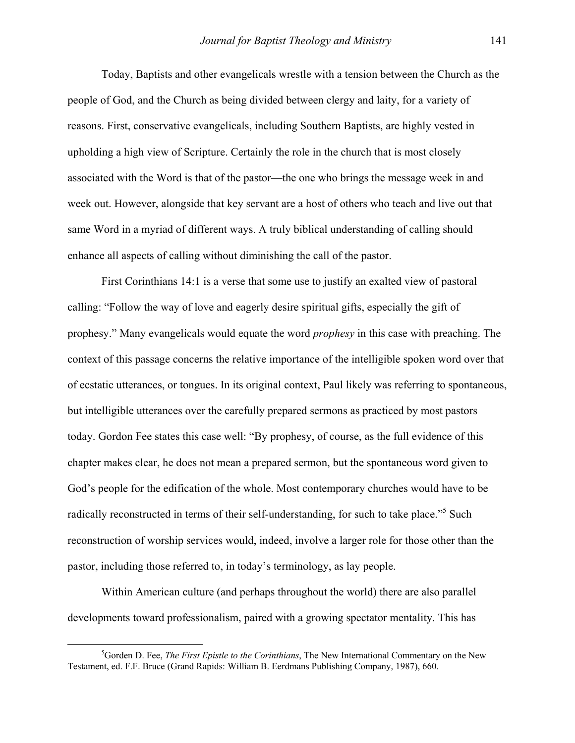Today, Baptists and other evangelicals wrestle with a tension between the Church as the people of God, and the Church as being divided between clergy and laity, for a variety of reasons. First, conservative evangelicals, including Southern Baptists, are highly vested in upholding a high view of Scripture. Certainly the role in the church that is most closely associated with the Word is that of the pastor—the one who brings the message week in and week out. However, alongside that key servant are a host of others who teach and live out that same Word in a myriad of different ways. A truly biblical understanding of calling should enhance all aspects of calling without diminishing the call of the pastor.

First Corinthians 14:1 is a verse that some use to justify an exalted view of pastoral calling: "Follow the way of love and eagerly desire spiritual gifts, especially the gift of prophesy." Many evangelicals would equate the word *prophesy* in this case with preaching. The context of this passage concerns the relative importance of the intelligible spoken word over that of ecstatic utterances, or tongues. In its original context, Paul likely was referring to spontaneous, but intelligible utterances over the carefully prepared sermons as practiced by most pastors today. Gordon Fee states this case well: "By prophesy, of course, as the full evidence of this chapter makes clear, he does not mean a prepared sermon, but the spontaneous word given to God's people for the edification of the whole. Most contemporary churches would have to be radically reconstructed in terms of their self-understanding, for such to take place."<sup>5</sup> Such reconstruction of worship services would, indeed, involve a larger role for those other than the pastor, including those referred to, in today's terminology, as lay people.

Within American culture (and perhaps throughout the world) there are also parallel developments toward professionalism, paired with a growing spectator mentality. This has

<span id="page-2-0"></span> $rac{1}{5}$ <sup>5</sup>Gorden D. Fee, *The First Epistle to the Corinthians*, The New International Commentary on the New Testament, ed. F.F. Bruce (Grand Rapids: William B. Eerdmans Publishing Company, 1987), 660.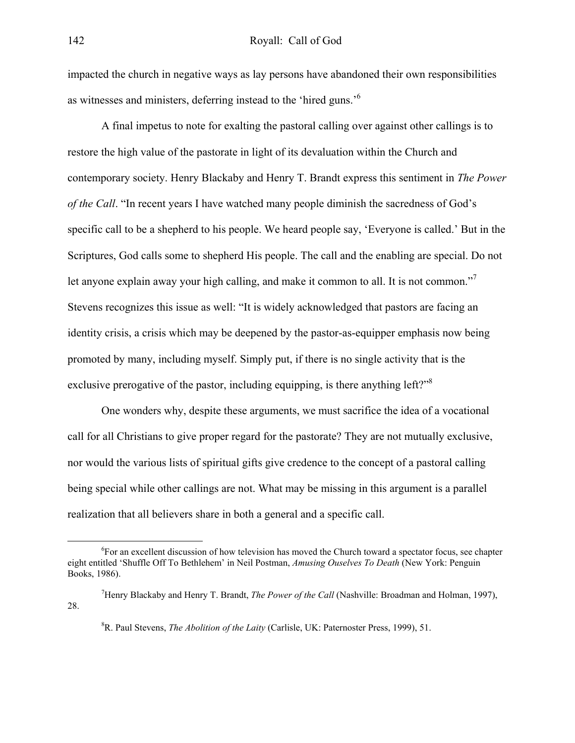impacted the church in negative ways as lay persons have abandoned their own responsibilities as witnesses and ministers, deferring instead to the 'hired guns.'[6](#page-3-0)

A final impetus to note for exalting the pastoral calling over against other callings is to restore the high value of the pastorate in light of its devaluation within the Church and contemporary society. Henry Blackaby and Henry T. Brandt express this sentiment in *The Power of the Call*. "In recent years I have watched many people diminish the sacredness of God's specific call to be a shepherd to his people. We heard people say, 'Everyone is called.' But in the Scriptures, God calls some to shepherd His people. The call and the enabling are special. Do not let anyone explain away your high calling, and make it common to all. It is not common."<sup>[7](#page-3-1)</sup> Stevens recognizes this issue as well: "It is widely acknowledged that pastors are facing an identity crisis, a crisis which may be deepened by the pastor-as-equipper emphasis now being promoted by many, including myself. Simply put, if there is no single activity that is the exclusive prerogative of the pastor, including equipping, is there anything left?"<sup>8</sup>

One wonders why, despite these arguments, we must sacrifice the idea of a vocational call for all Christians to give proper regard for the pastorate? They are not mutually exclusive, nor would the various lists of spiritual gifts give credence to the concept of a pastoral calling being special while other callings are not. What may be missing in this argument is a parallel realization that all believers share in both a general and a specific call.

<span id="page-3-0"></span> <sup>6</sup> For an excellent discussion of how television has moved the Church toward a spectator focus, see chapter eight entitled 'Shuffle Off To Bethlehem' in Neil Postman, *Amusing Ouselves To Death* (New York: Penguin Books, 1986).

<sup>7</sup> Henry Blackaby and Henry T. Brandt, *The Power of the Call* (Nashville: Broadman and Holman, 1997), 28.

<span id="page-3-2"></span><span id="page-3-1"></span><sup>8</sup> R. Paul Stevens, *The Abolition of the Laity* (Carlisle, UK: Paternoster Press, 1999), 51.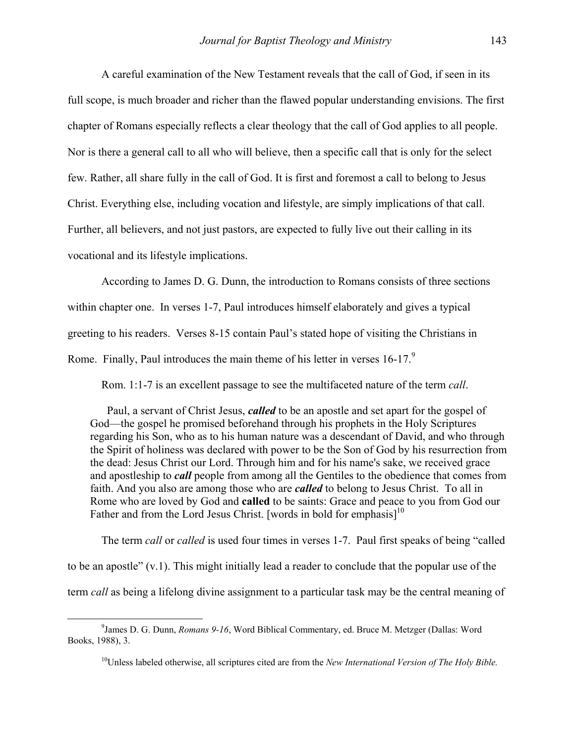A careful examination of the New Testament reveals that the call of God, if seen in its full scope, is much broader and richer than the flawed popular understanding envisions. The first chapter of Romans especially reflects a clear theology that the call of God applies to all people. Nor is there a general call to all who will believe, then a specific call that is only for the select few. Rather, all share fully in the call of God. It is first and foremost a call to belong to Jesus Christ. Everything else, including vocation and lifestyle, are simply implications of that call. Further, all believers, and not just pastors, are expected to fully live out their calling in its vocational and its lifestyle implications.

According to James D. G. Dunn, the introduction to Romans consists of three sections within chapter one. In verses 1-7, Paul introduces himself elaborately and gives a typical greeting to his readers. Verses 8-15 contain Paul's stated hope of visiting the Christians in Rome. Finally, Paul introduces the main theme of his letter in verses 16-17.<sup>[9](#page-4-0)</sup>

Rom. 1:1-7 is an excellent passage to see the multifaceted nature of the term *call*.

Paul, a servant of Christ Jesus, *called* to be an apostle and set apart for the gospel of God—the gospel he promised beforehand through his prophets in the Holy Scriptures regarding his Son, who as to his human nature was a descendant of David, and who through the Spirit of holiness was declared with power to be the Son of God by his resurrection from the dead: Jesus Christ our Lord. Through him and for his name's sake, we received grace and apostleship to *call* people from among all the Gentiles to the obedience that comes from faith. And you also are among those who are *called* to belong to Jesus Christ. To all in Rome who are loved by God and **called** to be saints: Grace and peace to you from God our Father and from the Lord Jesus Christ. [words in bold for emphasis]<sup>[10](#page-4-1)</sup>

The term *call* or *called* is used four times in verses 1-7. Paul first speaks of being "called to be an apostle" (v.1). This might initially lead a reader to conclude that the popular use of the term *call* as being a lifelong divine assignment to a particular task may be the central meaning of

 $\frac{1}{9}$ <sup>9</sup> James D. G. Dunn, *Romans 9-16*, Word Biblical Commentary, ed. Bruce M. Metzger (Dallas: Word Books, 1988), 3.

<span id="page-4-1"></span><span id="page-4-0"></span><sup>10</sup>Unless labeled otherwise, all scriptures cited are from the *New International Version of The Holy Bible.*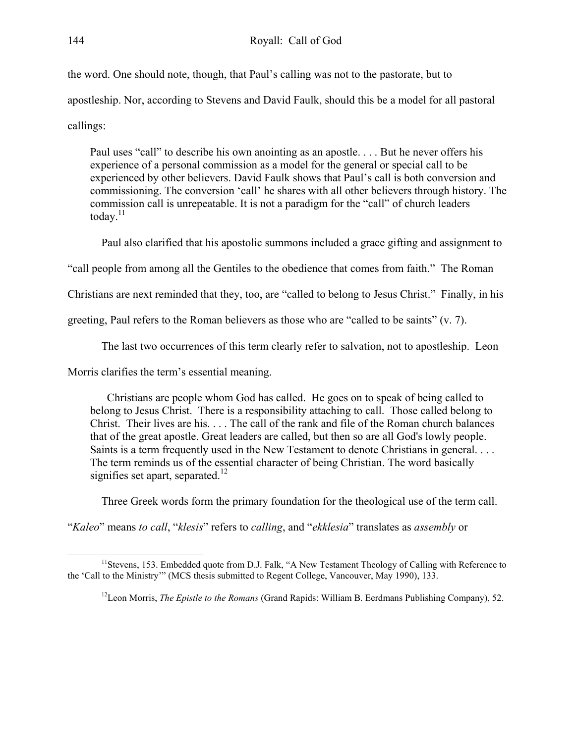the word. One should note, though, that Paul's calling was not to the pastorate, but to apostleship. Nor, according to Stevens and David Faulk, should this be a model for all pastoral callings:

Paul uses "call" to describe his own anointing as an apostle. . . . But he never offers his experience of a personal commission as a model for the general or special call to be experienced by other believers. David Faulk shows that Paul's call is both conversion and commissioning. The conversion 'call' he shares with all other believers through history. The commission call is unrepeatable. It is not a paradigm for the "call" of church leaders today. $^{11}$  $^{11}$  $^{11}$ 

Paul also clarified that his apostolic summons included a grace gifting and assignment to

"call people from among all the Gentiles to the obedience that comes from faith." The Roman

Christians are next reminded that they, too, are "called to belong to Jesus Christ." Finally, in his

greeting, Paul refers to the Roman believers as those who are "called to be saints" (v. 7).

The last two occurrences of this term clearly refer to salvation, not to apostleship. Leon

Morris clarifies the term's essential meaning.

Christians are people whom God has called. He goes on to speak of being called to belong to Jesus Christ. There is a responsibility attaching to call. Those called belong to Christ. Their lives are his. . . . The call of the rank and file of the Roman church balances that of the great apostle. Great leaders are called, but then so are all God's lowly people. Saints is a term frequently used in the New Testament to denote Christians in general. . . . The term reminds us of the essential character of being Christian. The word basically signifies set apart, separated.<sup>[12](#page-5-1)</sup>

Three Greek words form the primary foundation for the theological use of the term call.

"*Kaleo*" means *to call*, "*klesis*" refers to *calling*, and "*ekklesia*" translates as *assembly* or

<sup>&</sup>lt;sup>11</sup>Stevens, 153. Embedded quote from D.J. Falk, "A New Testament Theology of Calling with Reference to the 'Call to the Ministry'" (MCS thesis submitted to Regent College, Vancouver, May 1990), 133.

<span id="page-5-1"></span><span id="page-5-0"></span><sup>12</sup>Leon Morris, *The Epistle to the Romans* (Grand Rapids: William B. Eerdmans Publishing Company), 52.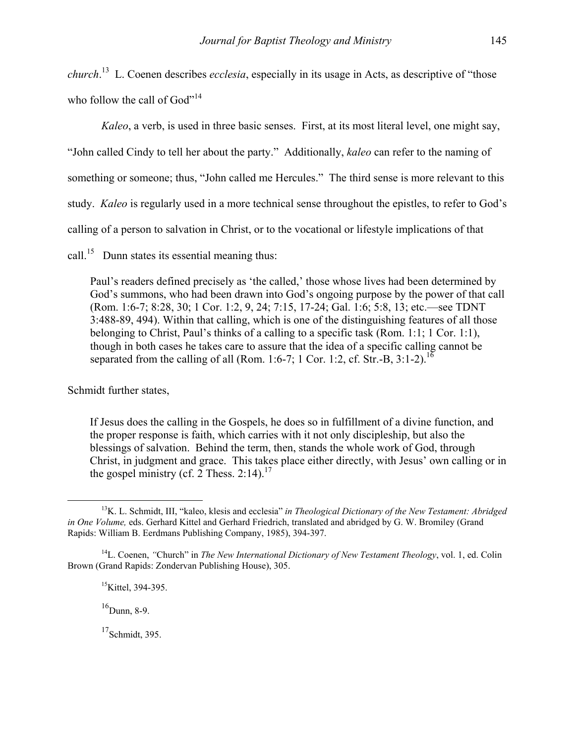*church*. [13](#page-6-0) L. Coenen describes *ecclesia*, especially in its usage in Acts, as descriptive of "those who follow the call of  $God''<sup>14</sup>$ 

*Kaleo*, a verb, is used in three basic senses. First, at its most literal level, one might say,

"John called Cindy to tell her about the party." Additionally, *kaleo* can refer to the naming of

something or someone; thus, "John called me Hercules." The third sense is more relevant to this

study. *Kaleo* is regularly used in a more technical sense throughout the epistles, to refer to God's

calling of a person to salvation in Christ, or to the vocational or lifestyle implications of that

call.<sup>15</sup> Dunn states its essential meaning thus:

Paul's readers defined precisely as 'the called,' those whose lives had been determined by God's summons, who had been drawn into God's ongoing purpose by the power of that call (Rom. 1:6-7; 8:28, 30; 1 Cor. 1:2, 9, 24; 7:15, 17-24; Gal. 1:6; 5:8, 13; etc.—see TDNT 3:488-89, 494). Within that calling, which is one of the distinguishing features of all those belonging to Christ, Paul's thinks of a calling to a specific task (Rom. 1:1; 1 Cor. 1:1), though in both cases he takes care to assure that the idea of a specific calling cannot be separated from the calling of all (Rom. 1:6-7; 1 Cor. 1:2, cf. Str.-B, 3:1-2).<sup>16</sup>

Schmidt further states,

If Jesus does the calling in the Gospels, he does so in fulfillment of a divine function, and the proper response is faith, which carries with it not only discipleship, but also the blessings of salvation. Behind the term, then, stands the whole work of God, through Christ, in judgment and grace. This takes place either directly, with Jesus' own calling or in the gospel ministry (cf. 2 Thess. 2:14).<sup>17</sup>

<span id="page-6-3"></span> $16$ Dunn, 8-9.

<span id="page-6-4"></span> $17$ Schmidt, 395.

<span id="page-6-0"></span><sup>&</sup>lt;sup>13</sup>K. L. Schmidt, III, "kaleo, klesis and ecclesia" in Theological Dictionary of the New Testament: Abridged *in One Volume,* eds. Gerhard Kittel and Gerhard Friedrich, translated and abridged by G. W. Bromiley (Grand Rapids: William B. Eerdmans Publishing Company, 1985), 394-397.

<sup>14</sup>L. Coenen, *"*Church" in *The New International Dictionary of New Testament Theology*, vol. 1, ed. Colin Brown (Grand Rapids: Zondervan Publishing House), 305.

<span id="page-6-2"></span><span id="page-6-1"></span> $15$ Kittel, 394-395.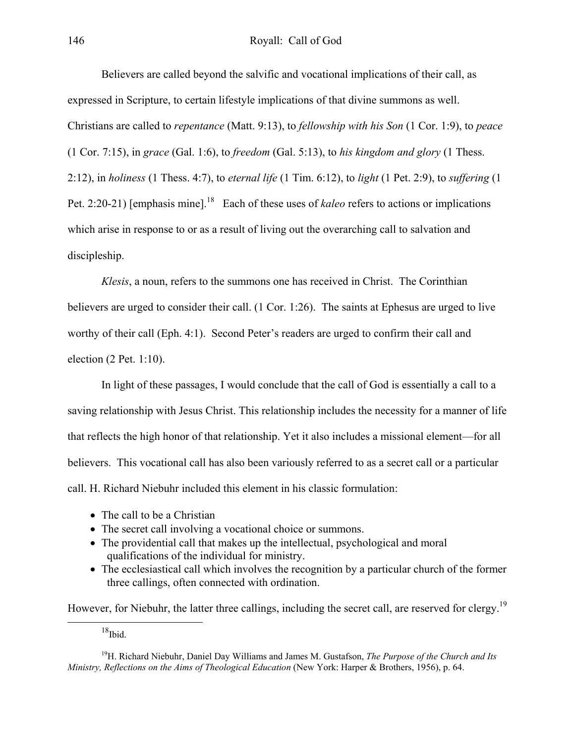Believers are called beyond the salvific and vocational implications of their call, as expressed in Scripture, to certain lifestyle implications of that divine summons as well. Christians are called to *repentance* (Matt. 9:13), to *fellowship with his Son* (1 Cor. 1:9), to *peace* (1 Cor. 7:15), in *grace* (Gal. 1:6), to *freedom* (Gal. 5:13), to *his kingdom and glory* (1 Thess. 2:12), in *holiness* (1 Thess. 4:7), to *eternal life* (1 Tim. 6:12), to *light* (1 Pet. 2:9), to *suffering* (1 Pet. 2:20-21) [emphasis mine].<sup>18</sup> Each of these uses of *kaleo* refers to actions or implications which arise in response to or as a result of living out the overarching call to salvation and discipleship.

*Klesis*, a noun, refers to the summons one has received in Christ. The Corinthian believers are urged to consider their call. (1 Cor. 1:26). The saints at Ephesus are urged to live worthy of their call (Eph. 4:1). Second Peter's readers are urged to confirm their call and election (2 Pet. 1:10).

In light of these passages, I would conclude that the call of God is essentially a call to a saving relationship with Jesus Christ. This relationship includes the necessity for a manner of life that reflects the high honor of that relationship. Yet it also includes a missional element—for all believers. This vocational call has also been variously referred to as a secret call or a particular call. H. Richard Niebuhr included this element in his classic formulation:

- The call to be a Christian
- The secret call involving a vocational choice or summons.
- The providential call that makes up the intellectual, psychological and moral qualifications of the individual for ministry.
- The ecclesiastical call which involves the recognition by a particular church of the former three callings, often connected with ordination.

However, for Niebuhr, the latter three callings, including the secret call, are reserved for clergy.<sup>19</sup>

<span id="page-7-1"></span><span id="page-7-0"></span> $18$ Ibid.

<sup>19</sup>H. Richard Niebuhr, Daniel Day Williams and James M. Gustafson, *The Purpose of the Church and Its Ministry, Reflections on the Aims of Theological Education* (New York: Harper & Brothers, 1956), p. 64.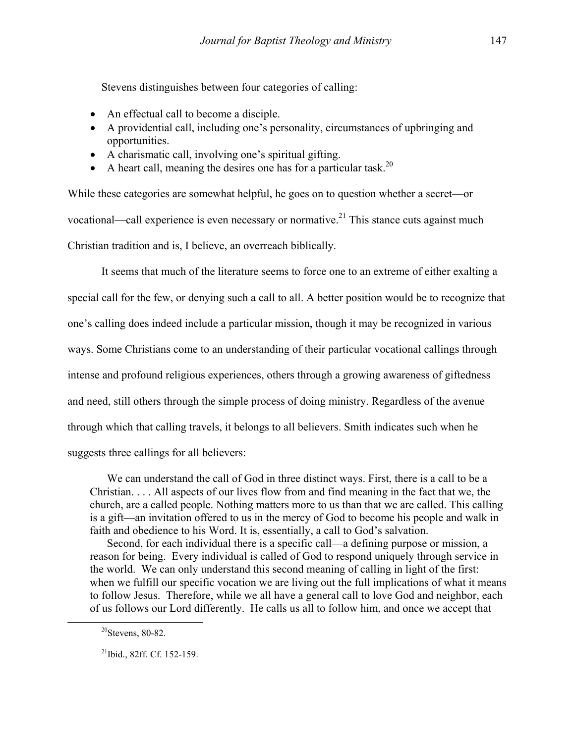Stevens distinguishes between four categories of calling:

- An effectual call to become a disciple.
- A providential call, including one's personality, circumstances of upbringing and opportunities.
- A charismatic call, involving one's spiritual gifting.
- A heart call, meaning the desires one has for a particular task.<sup>20</sup>

While these categories are somewhat helpful, he goes on to question whether a secret—or vocational—call experience is even necessary or normative.<sup>21</sup> This stance cuts against much Christian tradition and is, I believe, an overreach biblically.

It seems that much of the literature seems to force one to an extreme of either exalting a special call for the few, or denying such a call to all. A better position would be to recognize that one's calling does indeed include a particular mission, though it may be recognized in various ways. Some Christians come to an understanding of their particular vocational callings through intense and profound religious experiences, others through a growing awareness of giftedness and need, still others through the simple process of doing ministry. Regardless of the avenue through which that calling travels, it belongs to all believers. Smith indicates such when he suggests three callings for all believers:

We can understand the call of God in three distinct ways. First, there is a call to be a Christian. . . . All aspects of our lives flow from and find meaning in the fact that we, the church, are a called people. Nothing matters more to us than that we are called. This calling is a gift—an invitation offered to us in the mercy of God to become his people and walk in faith and obedience to his Word. It is, essentially, a call to God's salvation.

Second, for each individual there is a specific call—a defining purpose or mission, a reason for being. Every individual is called of God to respond uniquely through service in the world. We can only understand this second meaning of calling in light of the first: when we fulfill our specific vocation we are living out the full implications of what it means to follow Jesus. Therefore, while we all have a general call to love God and neighbor, each of us follows our Lord differently. He calls us all to follow him, and once we accept that

<span id="page-8-0"></span> $20$ Stevens, 80-82.

<span id="page-8-1"></span><sup>21</sup>Ibid., 82ff. Cf. 152-159.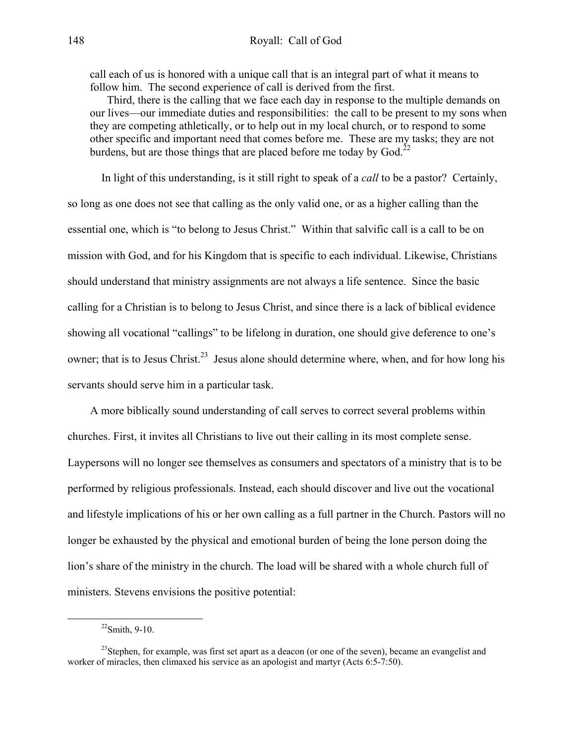call each of us is honored with a unique call that is an integral part of what it means to follow him. The second experience of call is derived from the first.

Third, there is the calling that we face each day in response to the multiple demands on our lives—our immediate duties and responsibilities: the call to be present to my sons when they are competing athletically, or to help out in my local church, or to respond to some other specific and important need that comes before me. These are my tasks; they are not burdens, but are those things that are placed before me today by God.<sup>[22](#page-9-0)</sup>

In light of this understanding, is it still right to speak of a *call* to be a pastor? Certainly, so long as one does not see that calling as the only valid one, or as a higher calling than the essential one, which is "to belong to Jesus Christ." Within that salvific call is a call to be on mission with God, and for his Kingdom that is specific to each individual. Likewise, Christians should understand that ministry assignments are not always a life sentence. Since the basic calling for a Christian is to belong to Jesus Christ, and since there is a lack of biblical evidence showing all vocational "callings" to be lifelong in duration, one should give deference to one's owner; that is to Jesus Christ.<sup>23</sup> Jesus alone should determine where, when, and for how long his servants should serve him in a particular task.

A more biblically sound understanding of call serves to correct several problems within churches. First, it invites all Christians to live out their calling in its most complete sense. Laypersons will no longer see themselves as consumers and spectators of a ministry that is to be performed by religious professionals. Instead, each should discover and live out the vocational and lifestyle implications of his or her own calling as a full partner in the Church. Pastors will no longer be exhausted by the physical and emotional burden of being the lone person doing the lion's share of the ministry in the church. The load will be shared with a whole church full of ministers. Stevens envisions the positive potential:

<span id="page-9-1"></span><span id="page-9-0"></span> $^{22}$ Smith, 9-10.

<sup>&</sup>lt;sup>23</sup>Stephen, for example, was first set apart as a deacon (or one of the seven), became an evangelist and worker of miracles, then climaxed his service as an apologist and martyr (Acts 6:5-7:50).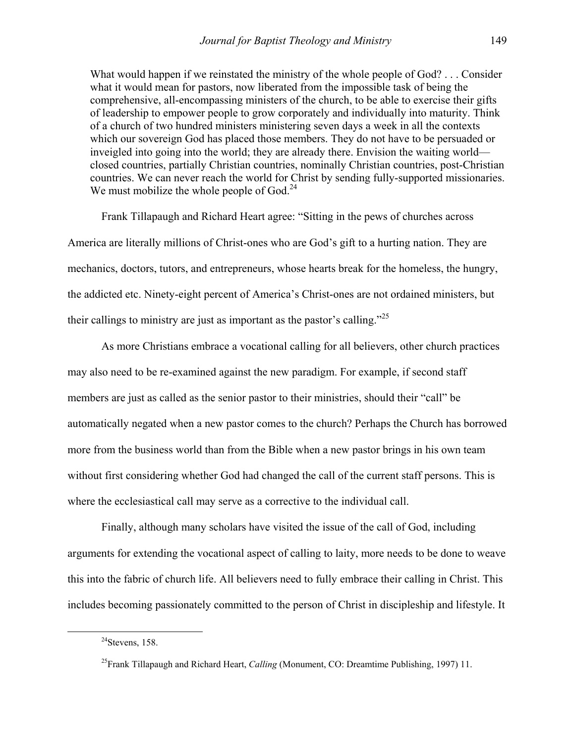What would happen if we reinstated the ministry of the whole people of God? . . . Consider what it would mean for pastors, now liberated from the impossible task of being the comprehensive, all-encompassing ministers of the church, to be able to exercise their gifts of leadership to empower people to grow corporately and individually into maturity. Think of a church of two hundred ministers ministering seven days a week in all the contexts which our sovereign God has placed those members. They do not have to be persuaded or inveigled into going into the world; they are already there. Envision the waiting world closed countries, partially Christian countries, nominally Christian countries, post-Christian countries. We can never reach the world for Christ by sending fully-supported missionaries. We must mobilize the whole people of  $God.<sup>24</sup>$  $God.<sup>24</sup>$  $God.<sup>24</sup>$ 

Frank Tillapaugh and Richard Heart agree: "Sitting in the pews of churches across America are literally millions of Christ-ones who are God's gift to a hurting nation. They are mechanics, doctors, tutors, and entrepreneurs, whose hearts break for the homeless, the hungry, the addicted etc. Ninety-eight percent of America's Christ-ones are not ordained ministers, but their callings to ministry are just as important as the pastor's calling. $125$  $125$ 

As more Christians embrace a vocational calling for all believers, other church practices may also need to be re-examined against the new paradigm. For example, if second staff members are just as called as the senior pastor to their ministries, should their "call" be automatically negated when a new pastor comes to the church? Perhaps the Church has borrowed more from the business world than from the Bible when a new pastor brings in his own team without first considering whether God had changed the call of the current staff persons. This is where the ecclesiastical call may serve as a corrective to the individual call.

Finally, although many scholars have visited the issue of the call of God, including arguments for extending the vocational aspect of calling to laity, more needs to be done to weave this into the fabric of church life. All believers need to fully embrace their calling in Christ. This includes becoming passionately committed to the person of Christ in discipleship and lifestyle. It

<span id="page-10-0"></span> $^{24}$ Stevens, 158.

<span id="page-10-1"></span><sup>25</sup>Frank Tillapaugh and Richard Heart, *Calling* (Monument, CO: Dreamtime Publishing, 1997) 11.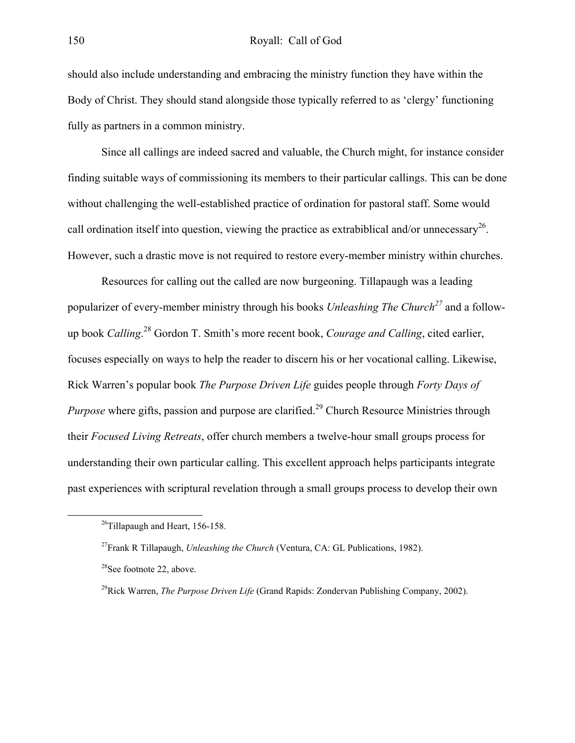should also include understanding and embracing the ministry function they have within the Body of Christ. They should stand alongside those typically referred to as 'clergy' functioning fully as partners in a common ministry.

Since all callings are indeed sacred and valuable, the Church might, for instance consider finding suitable ways of commissioning its members to their particular callings. This can be done without challenging the well-established practice of ordination for pastoral staff. Some would call ordination itself into question, viewing the practice as extrabiblical and/or unnecessary<sup>26</sup>. However, such a drastic move is not required to restore every-member ministry within churches.

Resources for calling out the called are now burgeoning. Tillapaugh was a leading popularizer of every-member ministry through his books *Unleashing The Churc[h27](#page-11-1)* and a followup book *Calling*. [28](#page-11-2) Gordon T. Smith's more recent book, *Courage and Calling*, cited earlier, focuses especially on ways to help the reader to discern his or her vocational calling. Likewise, Rick Warren's popular book *The Purpose Driven Life* guides people through *Forty Days of Purpose* where gifts, passion and purpose are clarified.<sup>29</sup> Church Resource Ministries through their *Focused Living Retreats*, offer church members a twelve-hour small groups process for understanding their own particular calling. This excellent approach helps participants integrate past experiences with scriptural revelation through a small groups process to develop their own

<span id="page-11-0"></span> $^{26}$ Tillapaugh and Heart, 156-158.

<span id="page-11-1"></span><sup>27</sup>Frank R Tillapaugh, *Unleashing the Church* (Ventura, CA: GL Publications, 1982).

<span id="page-11-2"></span><sup>&</sup>lt;sup>28</sup>See footnote 22, above.

<span id="page-11-3"></span><sup>29</sup>Rick Warren, *The Purpose Driven Life* (Grand Rapids: Zondervan Publishing Company, 2002).